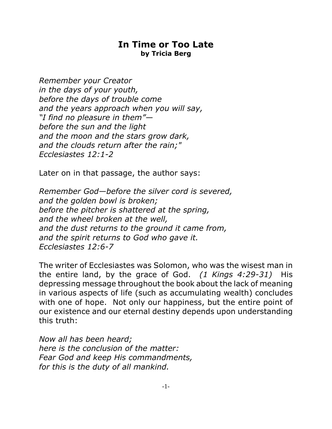## **In Time or Too Late by Tricia Berg**

*Remember your Creator in the days of your youth, before the days of trouble come and the years approach when you will say, "I find no pleasure in them" before the sun and the light and the moon and the stars grow dark, and the clouds return after the rain;" Ecclesiastes 12:1-2*

Later on in that passage, the author says:

*Remember God—before the silver cord is severed, and the golden bowl is broken; before the pitcher is shattered at the spring, and the wheel broken at the well, and the dust returns to the ground it came from, and the spirit returns to God who gave it. Ecclesiastes 12:6-7*

The writer of Ecclesiastes was Solomon, who was the wisest man in the entire land, by the grace of God. *(1 Kings 4:29-31)* His depressing message throughout the book about the lack of meaning in various aspects of life (such as accumulating wealth) concludes with one of hope. Not only our happiness, but the entire point of our existence and our eternal destiny depends upon understanding this truth:

*Now all has been heard; here is the conclusion of the matter: Fear God and keep His commandments, for this is the duty of all mankind.*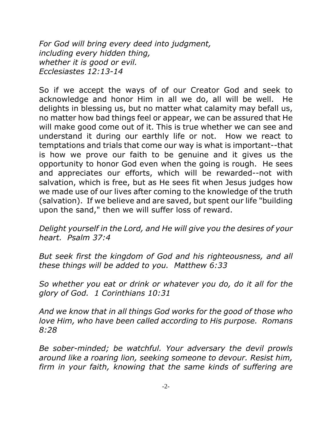*For God will bring every deed into judgment, including every hidden thing, whether it is good or evil. Ecclesiastes 12:13-14*

So if we accept the ways of of our Creator God and seek to acknowledge and honor Him in all we do, all will be well. He delights in blessing us, but no matter what calamity may befall us, no matter how bad things feel or appear, we can be assured that He will make good come out of it. This is true whether we can see and understand it during our earthly life or not. How we react to temptations and trials that come our way is what is important--that is how we prove our faith to be genuine and it gives us the opportunity to honor God even when the going is rough. He sees and appreciates our efforts, which will be rewarded--not with salvation, which is free, but as He sees fit when Jesus judges how we made use of our lives after coming to the knowledge of the truth (salvation). If we believe and are saved, but spent our life "building upon the sand," then we will suffer loss of reward.

*Delight yourself in the Lord, and He will give you the desires of your heart. Psalm 37:4*

*But seek first the kingdom of God and his righteousness, and all these things will be added to you. Matthew 6:33*

*So whether you eat or drink or whatever you do, do it all for the glory of God. 1 Corinthians 10:31*

*And we know that in all things God works for the good of those who love Him, who have been called according to His purpose. Romans 8:28*

*Be sober-minded; be watchful. Your adversary the devil prowls around like a roaring lion, seeking someone to devour. Resist him, firm in your faith, knowing that the same kinds of suffering are*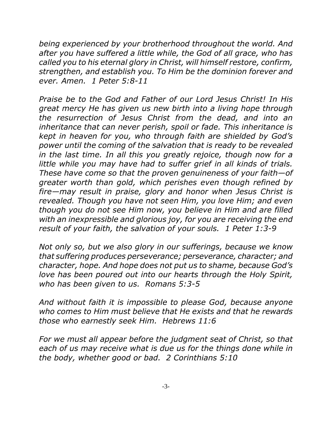*being experienced by your brotherhood throughout the world. And after you have suffered a little while, the God of all grace, who has called you to his eternal glory in Christ, will himself restore, confirm, strengthen, and establish you. To Him be the dominion forever and ever. Amen. 1 Peter 5:8-11*

*Praise be to the God and Father of our Lord Jesus Christ! In His great mercy He has given us new birth into a living hope through the resurrection of Jesus Christ from the dead, and into an inheritance that can never perish, spoil or fade. This inheritance is kept in heaven for you, who through faith are shielded by God's power until the coming of the salvation that is ready to be revealed in the last time. In all this you greatly rejoice, though now for a little while you may have had to suffer grief in all kinds of trials. These have come so that the proven genuineness of your faith—of greater worth than gold, which perishes even though refined by fire—may result in praise, glory and honor when Jesus Christ is revealed. Though you have not seen Him, you love Him; and even though you do not see Him now, you believe in Him and are filled with an inexpressible and glorious joy, for you are receiving the end result of your faith, the salvation of your souls. 1 Peter 1:3-9*

*Not only so, but we also glory in our sufferings, because we know that suffering produces perseverance; perseverance, character; and character, hope. And hope does not put us to shame, because God's love has been poured out into our hearts through the Holy Spirit, who has been given to us. Romans 5:3-5*

*And without faith it is impossible to please God, because anyone who comes to Him must believe that He exists and that he rewards those who earnestly seek Him. Hebrews 11:6*

*For we must all appear before the judgment seat of Christ, so that each of us may receive what is due us for the things done while in the body, whether good or bad. 2 Corinthians 5:10*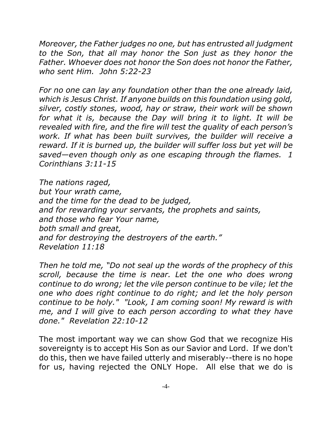*Moreover, the Father judges no one, but has entrusted all judgment to the Son, that all may honor the Son just as they honor the Father. Whoever does not honor the Son does not honor the Father, who sent Him. John 5:22-23*

*For no one can lay any foundation other than the one already laid, which is Jesus Christ. If anyone builds on this foundation using gold, silver, costly stones, wood, hay or straw, their work will be shown for what it is, because the Day will bring it to light. It will be revealed with fire, and the fire will test the quality of each person's work. If what has been built survives, the builder will receive a reward. If it is burned up, the builder will suffer loss but yet will be saved—even though only as one escaping through the flames. 1 Corinthians 3:11-15*

*The nations raged, but Your wrath came, and the time for the dead to be judged, and for rewarding your servants, the prophets and saints, and those who fear Your name, both small and great, and for destroying the destroyers of the earth." Revelation 11:18*

*Then he told me, "Do not seal up the words of the prophecy of this scroll, because the time is near. Let the one who does wrong continue to do wrong; let the vile person continue to be vile; let the one who does right continue to do right; and let the holy person continue to be holy." "Look, I am coming soon! My reward is with me, and I will give to each person according to what they have done." Revelation 22:10-12*

The most important way we can show God that we recognize His sovereignty is to accept His Son as our Savior and Lord. If we don't do this, then we have failed utterly and miserably--there is no hope for us, having rejected the ONLY Hope. All else that we do is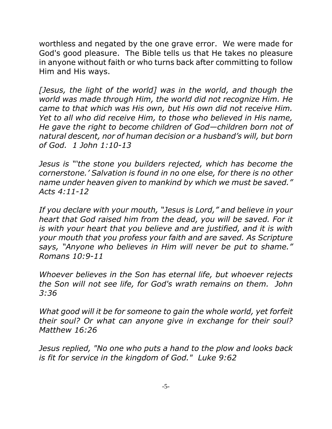worthless and negated by the one grave error. We were made for God's good pleasure. The Bible tells us that He takes no pleasure in anyone without faith or who turns back after committing to follow Him and His ways.

*[Jesus, the light of the world] was in the world, and though the world was made through Him, the world did not recognize Him. He came to that which was His own, but His own did not receive Him. Yet to all who did receive Him, to those who believed in His name, He gave the right to become children of God—children born not of natural descent, nor of human decision or a husband's will, but born of God. 1 John 1:10-13* 

*Jesus is "'the stone you builders rejected, which has become the cornerstone.' Salvation is found in no one else, for there is no other name under heaven given to mankind by which we must be saved." Acts 4:11-12*

*If you declare with your mouth, "Jesus is Lord," and believe in your heart that God raised him from the dead, you will be saved. For it is with your heart that you believe and are justified, and it is with your mouth that you profess your faith and are saved. As Scripture says, "Anyone who believes in Him will never be put to shame." Romans 10:9-11*

*Whoever believes in the Son has eternal life, but whoever rejects the Son will not see life, for God's wrath remains on them. John 3:36*

*What good will it be for someone to gain the whole world, yet forfeit their soul? Or what can anyone give in exchange for their soul? Matthew 16:26*

*Jesus replied, "No one who puts a hand to the plow and looks back is fit for service in the kingdom of God." Luke 9:62*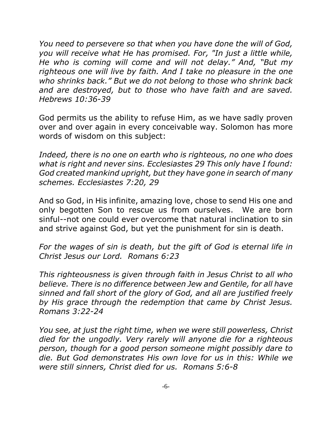*You need to persevere so that when you have done the will of God, you will receive what He has promised. For, "In just a little while, He who is coming will come and will not delay." And, "But my righteous one will live by faith. And I take no pleasure in the one who shrinks back." But we do not belong to those who shrink back and are destroyed, but to those who have faith and are saved. Hebrews 10:36-39*

God permits us the ability to refuse Him, as we have sadly proven over and over again in every conceivable way. Solomon has more words of wisdom on this subject:

*Indeed, there is no one on earth who is righteous, no one who does what is right and never sins. Ecclesiastes 29 This only have I found: God created mankind upright, but they have gone in search of many schemes. Ecclesiastes 7:20, 29*

And so God, in His infinite, amazing love, chose to send His one and only begotten Son to rescue us from ourselves. We are born sinful--not one could ever overcome that natural inclination to sin and strive against God, but yet the punishment for sin is death.

*For the wages of sin is death, but the gift of God is eternal life in Christ Jesus our Lord. Romans 6:23*

*This righteousness is given through faith in Jesus Christ to all who believe. There is no difference between Jew and Gentile, for all have sinned and fall short of the glory of God, and all are justified freely by His grace through the redemption that came by Christ Jesus. Romans 3:22-24*

*You see, at just the right time, when we were still powerless, Christ died for the ungodly. Very rarely will anyone die for a righteous person, though for a good person someone might possibly dare to die. But God demonstrates His own love for us in this: While we were still sinners, Christ died for us. Romans 5:6-8*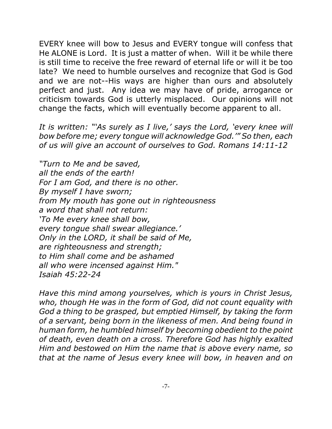EVERY knee will bow to Jesus and EVERY tongue will confess that He ALONE is Lord. It is just a matter of when. Will it be while there is still time to receive the free reward of eternal life or will it be too late? We need to humble ourselves and recognize that God is God and we are not--His ways are higher than ours and absolutely perfect and just. Any idea we may have of pride, arrogance or criticism towards God is utterly misplaced. Our opinions will not change the facts, which will eventually become apparent to all.

*It is written: "'As surely as I live,' says the Lord, 'every knee will bow before me; every tongue will acknowledge God.'" So then, each of us will give an account of ourselves to God. Romans 14:11-12*

*"Turn to Me and be saved, all the ends of the earth! For I am God, and there is no other. By myself I have sworn; from My mouth has gone out in righteousness a word that shall not return: 'To Me every knee shall bow, every tongue shall swear allegiance.' Only in the LORD, it shall be said of Me, are righteousness and strength; to Him shall come and be ashamed all who were incensed against Him." Isaiah 45:22-24*

*Have this mind among yourselves, which is yours in Christ Jesus, who, though He was in the form of God, did not count equality with God a thing to be grasped, but emptied Himself, by taking the form of a servant, being born in the likeness of men. And being found in human form, he humbled himself by becoming obedient to the point of death, even death on a cross. Therefore God has highly exalted Him and bestowed on Him the name that is above every name, so that at the name of Jesus every knee will bow, in heaven and on*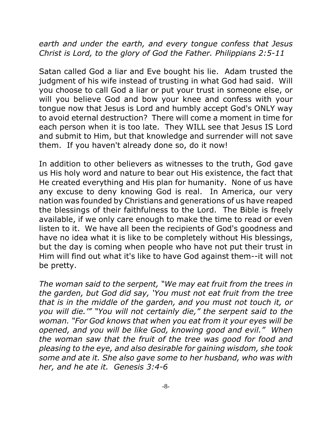*earth and under the earth, and every tongue confess that Jesus Christ is Lord, to the glory of God the Father. Philippians 2:5-11*

Satan called God a liar and Eve bought his lie. Adam trusted the judgment of his wife instead of trusting in what God had said. Will you choose to call God a liar or put your trust in someone else, or will you believe God and bow your knee and confess with your tongue now that Jesus is Lord and humbly accept God's ONLY way to avoid eternal destruction? There will come a moment in time for each person when it is too late. They WILL see that Jesus IS Lord and submit to Him, but that knowledge and surrender will not save them. If you haven't already done so, do it now!

In addition to other believers as witnesses to the truth, God gave us His holy word and nature to bear out His existence, the fact that He created everything and His plan for humanity. None of us have any excuse to deny knowing God is real. In America, our very nation was founded by Christians and generations of us have reaped the blessings of their faithfulness to the Lord. The Bible is freely available, if we only care enough to make the time to read or even listen to it. We have all been the recipients of God's goodness and have no idea what it is like to be completely without His blessings, but the day is coming when people who have not put their trust in Him will find out what it's like to have God against them--it will not be pretty.

*The woman said to the serpent, "We may eat fruit from the trees in the garden, but God did say, 'You must not eat fruit from the tree that is in the middle of the garden, and you must not touch it, or you will die.'" "You will not certainly die," the serpent said to the woman. "For God knows that when you eat from it your eyes will be opened, and you will be like God, knowing good and evil." When the woman saw that the fruit of the tree was good for food and pleasing to the eye, and also desirable for gaining wisdom, she took some and ate it. She also gave some to her husband, who was with her, and he ate it. Genesis 3:4-6*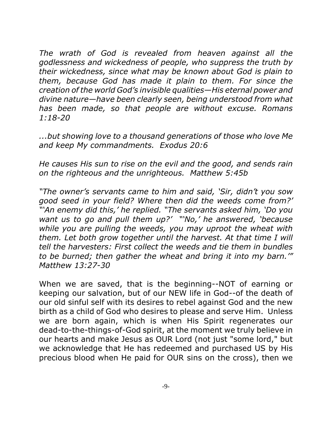*The wrath of God is revealed from heaven against all the godlessness and wickedness of people, who suppress the truth by their wickedness, since what may be known about God is plain to them, because God has made it plain to them. For since the creation of the world God's invisible qualities—His eternal power and divine nature—have been clearly seen, being understood from what has been made, so that people are without excuse. Romans 1:18-20*

*...but showing love to a thousand generations of those who love Me and keep My commandments. Exodus 20:6*

*He causes His sun to rise on the evil and the good, and sends rain on the righteous and the unrighteous. Matthew 5:45b*

*"The owner's servants came to him and said, 'Sir, didn't you sow good seed in your field? Where then did the weeds come from?' "'An enemy did this,' he replied. "The servants asked him, 'Do you want us to go and pull them up?' "'No,' he answered, 'because while you are pulling the weeds, you may uproot the wheat with them. Let both grow together until the harvest. At that time I will tell the harvesters: First collect the weeds and tie them in bundles to be burned; then gather the wheat and bring it into my barn.'" Matthew 13:27-30*

When we are saved, that is the beginning--NOT of earning or keeping our salvation, but of our NEW life in God--of the death of our old sinful self with its desires to rebel against God and the new birth as a child of God who desires to please and serve Him. Unless we are born again, which is when His Spirit regenerates our dead-to-the-things-of-God spirit, at the moment we truly believe in our hearts and make Jesus as OUR Lord (not just "some lord," but we acknowledge that He has redeemed and purchased US by His precious blood when He paid for OUR sins on the cross), then we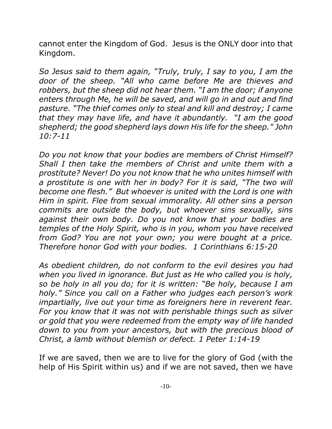cannot enter the Kingdom of God. Jesus is the ONLY door into that Kingdom.

*So Jesus said to them again, "Truly, truly, I say to you, I am the door of the sheep. "All who came before Me are thieves and robbers, but the sheep did not hear them. "I am the door; if anyone enters through Me, he will be saved, and will go in and out and find pasture. "The thief comes only to steal and kill and destroy; I came that they may have life, and have it abundantly. "I am the good shepherd; the good shepherd lays down His life for the sheep." John 10:7-11*

*Do you not know that your bodies are members of Christ Himself? Shall I then take the members of Christ and unite them with a prostitute? Never! Do you not know that he who unites himself with a prostitute is one with her in body? For it is said, "The two will become one flesh." But whoever is united with the Lord is one with Him in spirit. Flee from sexual immorality. All other sins a person commits are outside the body, but whoever sins sexually, sins against their own body. Do you not know that your bodies are temples of the Holy Spirit, who is in you, whom you have received from God? You are not your own; you were bought at a price. Therefore honor God with your bodies. 1 Corinthians 6:15-20*

*As obedient children, do not conform to the evil desires you had when you lived in ignorance. But just as He who called you is holy, so be holy in all you do; for it is written: "Be holy, because I am holy." Since you call on a Father who judges each person's work impartially, live out your time as foreigners here in reverent fear. For you know that it was not with perishable things such as silver or gold that you were redeemed from the empty way of life handed down to you from your ancestors, but with the precious blood of Christ, a lamb without blemish or defect. 1 Peter 1:14-19*

If we are saved, then we are to live for the glory of God (with the help of His Spirit within us) and if we are not saved, then we have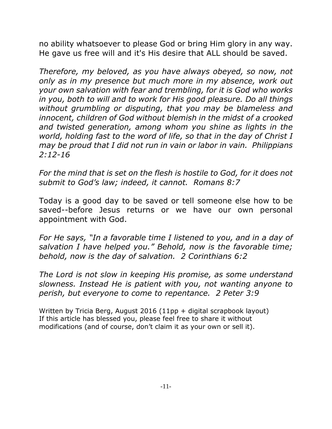no ability whatsoever to please God or bring Him glory in any way. He gave us free will and it's His desire that ALL should be saved.

*Therefore, my beloved, as you have always obeyed, so now, not only as in my presence but much more in my absence, work out your own salvation with fear and trembling, for it is God who works in you, both to will and to work for His good pleasure. Do all things without grumbling or disputing, that you may be blameless and innocent, children of God without blemish in the midst of a crooked and twisted generation, among whom you shine as lights in the world, holding fast to the word of life, so that in the day of Christ I may be proud that I did not run in vain or labor in vain. Philippians 2:12-16*

*For the mind that is set on the flesh is hostile to God, for it does not submit to God's law; indeed, it cannot. Romans 8:7*

Today is a good day to be saved or tell someone else how to be saved--before Jesus returns or we have our own personal appointment with God.

*For He says, "In a favorable time I listened to you, and in a day of salvation I have helped you." Behold, now is the favorable time; behold, now is the day of salvation. 2 Corinthians 6:2*

*The Lord is not slow in keeping His promise, as some understand slowness. Instead He is patient with you, not wanting anyone to perish, but everyone to come to repentance. 2 Peter 3:9*

Written by Tricia Berg, August 2016 (11pp + digital scrapbook layout) If this article has blessed you, please feel free to share it without modifications (and of course, don't claim it as your own or sell it).